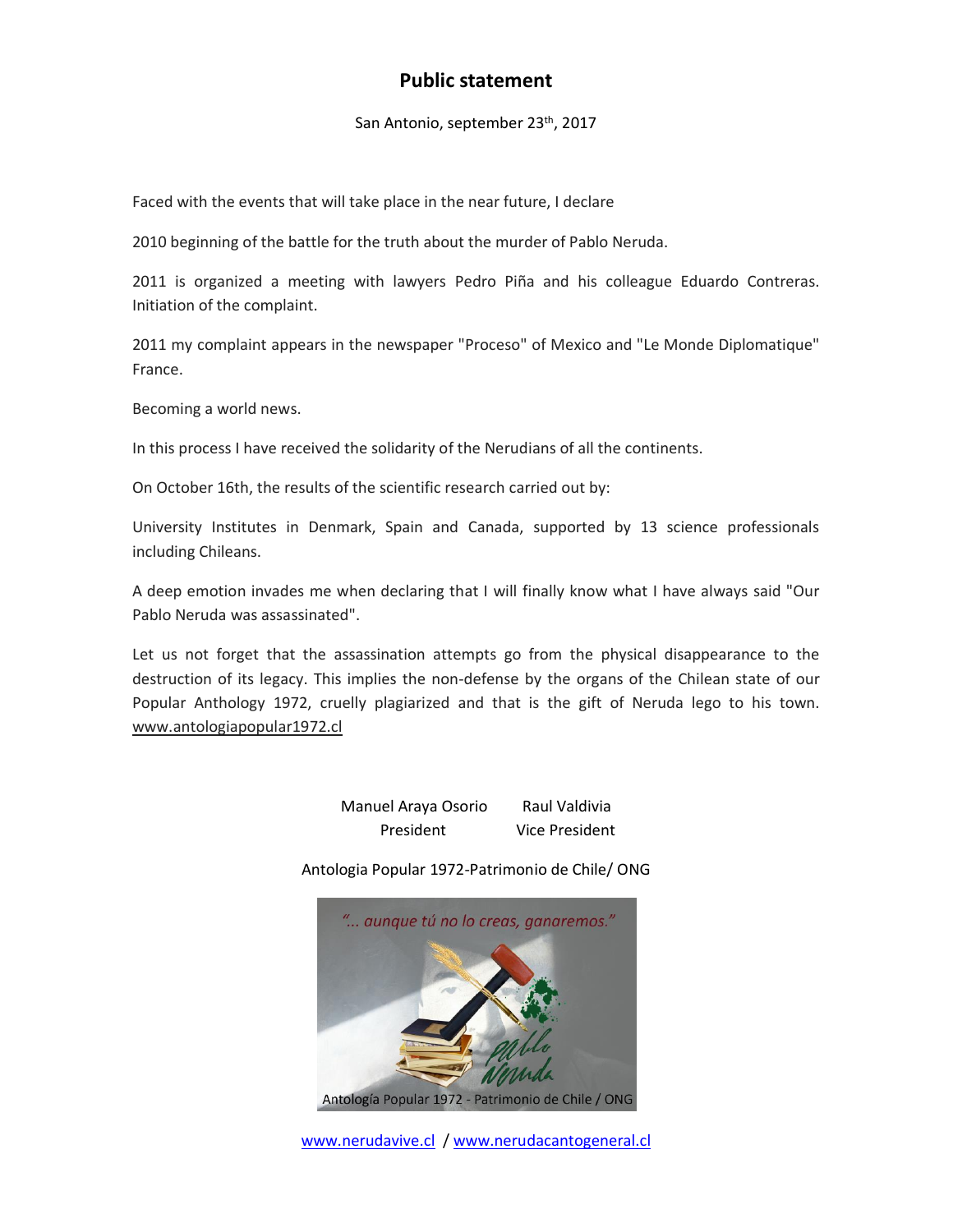## **Public statement**

San Antonio, september 23<sup>th</sup>, 2017

Faced with the events that will take place in the near future, I declare

2010 beginning of the battle for the truth about the murder of Pablo Neruda.

2011 is organized a meeting with lawyers Pedro Piña and his colleague Eduardo Contreras. Initiation of the complaint.

2011 my complaint appears in the newspaper "Proceso" of Mexico and "Le Monde Diplomatique" France.

Becoming a world news.

In this process I have received the solidarity of the Nerudians of all the continents.

On October 16th, the results of the scientific research carried out by:

University Institutes in Denmark, Spain and Canada, supported by 13 science professionals including Chileans.

A deep emotion invades me when declaring that I will finally know what I have always said "Our Pablo Neruda was assassinated".

Let us not forget that the assassination attempts go from the physical disappearance to the destruction of its legacy. This implies the non-defense by the organs of the Chilean state of our Popular Anthology 1972, cruelly plagiarized and that is the gift of Neruda lego to his town. [www.antologiapopular1972.cl](http://www.antologiapopular1972.cl/)

> Manuel Araya Osorio Raul Valdivia President Vice President

Antologia Popular 1972-Patrimonio de Chile/ ONG



[www.nerudavive.cl](http://www.nerudavive.cl/) / [www.nerudacantogeneral.cl](http://nerudacantogeneral.cl/)